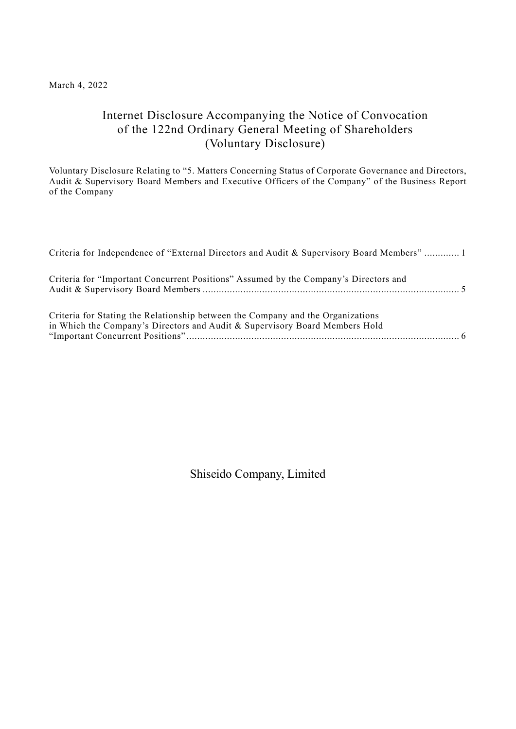## March 4, 2022

# Internet Disclosure Accompanying the Notice of Convocation of the 122nd Ordinary General Meeting of Shareholders (Voluntary Disclosure)

Voluntary Disclosure Relating to "5. Matters Concerning Status of Corporate Governance and Directors, Audit & Supervisory Board Members and Executive Officers of the Company" of the Business Report of the Company

| Criteria for Independence of "External Directors and Audit & Supervisory Board Members"  1                                                                            |
|-----------------------------------------------------------------------------------------------------------------------------------------------------------------------|
| Criteria for "Important Concurrent Positions" Assumed by the Company's Directors and                                                                                  |
| Criteria for Stating the Relationship between the Company and the Organizations<br>in Which the Company's Directors and Audit & Supervisory Board Members Hold<br>. 6 |

Shiseido Company, Limited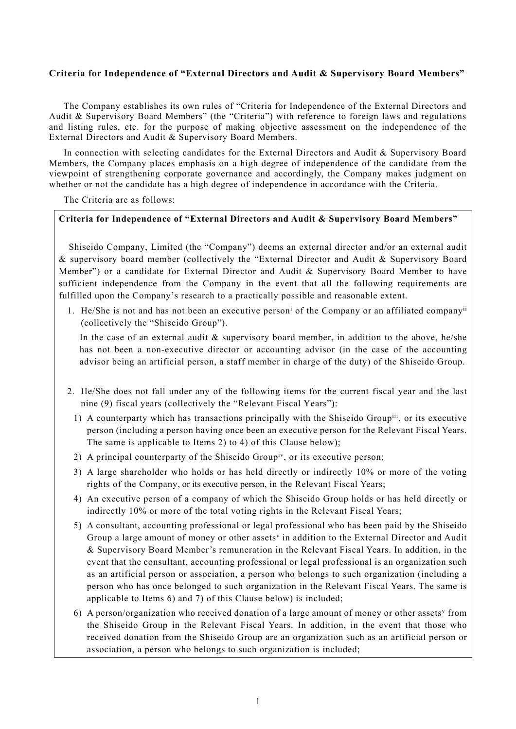## <span id="page-1-0"></span>**Criteria for Independence of "External Directors and Audit & Supervisory Board Members"**

The Company establishes its own rules of "Criteria for Independence of the External Directors and Audit & Supervisory Board Members" (the "Criteria") with reference to foreign laws and regulations and listing rules, etc. for the purpose of making objective assessment on the independence of the External Directors and Audit & Supervisory Board Members.

In connection with selecting candidates for the External Directors and Audit & Supervisory Board Members, the Company places emphasis on a high degree of independence of the candidate from the viewpoint of strengthening corporate governance and accordingly, the Company makes judgment on whether or not the candidate has a high degree of independence in accordance with the Criteria.

The Criteria are as follows:

#### **Criteria for Independence of "External Directors and Audit & Supervisory Board Members"**

Shiseido Company, Limited (the "Company") deems an external director and/or an external audit & supervisory board member (collectively the "External Director and Audit & Supervisory Board Member") or a candidate for External Director and Audit & Supervisory Board Member to have sufficient independence from the Company in the event that all the following requirements are fulfilled upon the Company's research to a practically possible and reasonable extent.

1. He/She is not and has not been an executive person<sup>i</sup> of the Company or an affiliated company<sup>ii</sup> (collectively the "Shiseido Group").

In the case of an external audit  $\&$  supervisory board member, in addition to the above, he/she has not been a non-executive director or accounting advisor (in the case of the accounting advisor being an artificial person, a staff member in charge of the duty) of the Shiseido Group.

- 2. He/She does not fall under any of the following items for the current fiscal year and the last nine (9) fiscal years (collectively the "Relevant Fiscal Years"):
	- 1) A counterparty which has transactions principally with the Shiseido Groupiii, or its executive person (including a person having once been an executive person for the Relevant Fiscal Years. The same is applicable to Items 2) to 4) of this Clause below);
	- 2) A principal counterparty of the Shiseido Group<sup>iv</sup>, or its executive person;
	- 3) A large shareholder who holds or has held directly or indirectly 10% or more of the voting rights of the Company, or its executive person, in the Relevant Fiscal Years;
	- 4) An executive person of a company of which the Shiseido Group holds or has held directly or indirectly 10% or more of the total voting rights in the Relevant Fiscal Years;
	- 5) A consultant, accounting professional or legal professional who has been paid by the Shiseido Group a large amount of money or other assets<sup> $v$ </sup> in addition to the External Director and Audit & Supervisory Board Member's remuneration in the Relevant Fiscal Years. In addition, in the event that the consultant, accounting professional or legal professional is an organization such as an artificial person or association, a person who belongs to such organization (including a person who has once belonged to such organization in the Relevant Fiscal Years. The same is applicable to Items 6) and 7) of this Clause below) is included;
	- 6) A person/organization who received donation of a large amount of money or other assets<sup> $v$ </sup> from the Shiseido Group in the Relevant Fiscal Years. In addition, in the event that those who received donation from the Shiseido Group are an organization such as an artificial person or association, a person who belongs to such organization is included;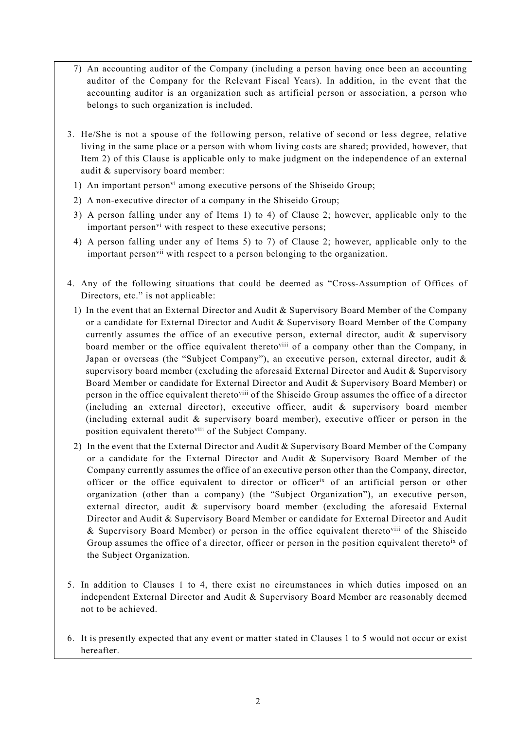- 7) An accounting auditor of the Company (including a person having once been an accounting auditor of the Company for the Relevant Fiscal Years). In addition, in the event that the accounting auditor is an organization such as artificial person or association, a person who belongs to such organization is included.
- 3. He/She is not a spouse of the following person, relative of second or less degree, relative living in the same place or a person with whom living costs are shared; provided, however, that Item 2) of this Clause is applicable only to make judgment on the independence of an external audit & supervisory board member:
	- 1) An important person<sup>vi</sup> among executive persons of the Shiseido Group;
	- 2) A non-executive director of a company in the Shiseido Group;
	- 3) A person falling under any of Items 1) to 4) of Clause 2; however, applicable only to the important person<sup>vi</sup> with respect to these executive persons;
	- 4) A person falling under any of Items 5) to 7) of Clause 2; however, applicable only to the important person<sup>vii</sup> with respect to a person belonging to the organization.
- 4. Any of the following situations that could be deemed as "Cross-Assumption of Offices of Directors, etc." is not applicable:
	- 1) In the event that an External Director and Audit & Supervisory Board Member of the Company or a candidate for External Director and Audit & Supervisory Board Member of the Company currently assumes the office of an executive person, external director, audit & supervisory board member or the office equivalent thereto<sup>viii</sup> of a company other than the Company, in Japan or overseas (the "Subject Company"), an executive person, external director, audit & supervisory board member (excluding the aforesaid External Director and Audit & Supervisory Board Member or candidate for External Director and Audit & Supervisory Board Member) or person in the office equivalent theretoviii of the Shiseido Group assumes the office of a director (including an external director), executive officer, audit & supervisory board member (including external audit & supervisory board member), executive officer or person in the position equivalent thereto<sup>viii</sup> of the Subject Company.
	- 2) In the event that the External Director and Audit & Supervisory Board Member of the Company or a candidate for the External Director and Audit & Supervisory Board Member of the Company currently assumes the office of an executive person other than the Company, director, officer or the office equivalent to director or officerix of an artificial person or other organization (other than a company) (the "Subject Organization"), an executive person, external director, audit & supervisory board member (excluding the aforesaid External Director and Audit & Supervisory Board Member or candidate for External Director and Audit & Supervisory Board Member) or person in the office equivalent theretoviii of the Shiseido Group assumes the office of a director, officer or person in the position equivalent thereto<sup>ix</sup> of the Subject Organization.
- 5. In addition to Clauses 1 to 4, there exist no circumstances in which duties imposed on an independent External Director and Audit & Supervisory Board Member are reasonably deemed not to be achieved.
- 6. It is presently expected that any event or matter stated in Clauses 1 to 5 would not occur or exist hereafter.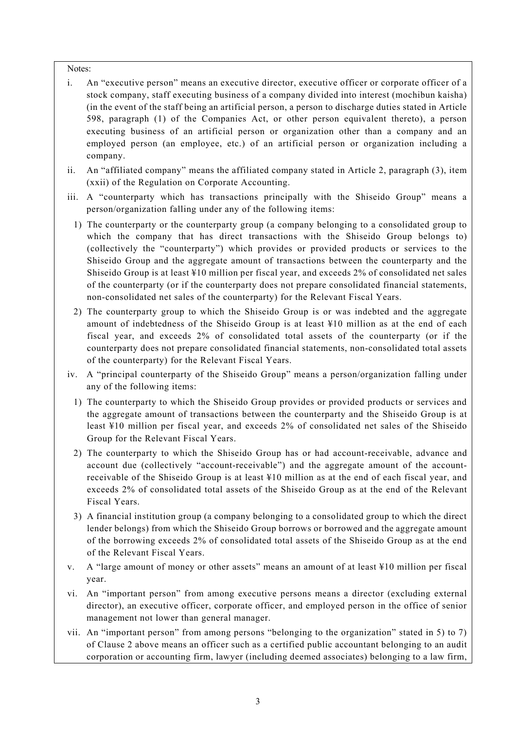#### Notes:

- i. An "executive person" means an executive director, executive officer or corporate officer of a stock company, staff executing business of a company divided into interest (mochibun kaisha) (in the event of the staff being an artificial person, a person to discharge duties stated in Article 598, paragraph (1) of the Companies Act, or other person equivalent thereto), a person executing business of an artificial person or organization other than a company and an employed person (an employee, etc.) of an artificial person or organization including a company.
- ii. An "affiliated company" means the affiliated company stated in Article 2, paragraph (3), item (xxii) of the Regulation on Corporate Accounting.
- iii. A "counterparty which has transactions principally with the Shiseido Group" means a person/organization falling under any of the following items:
	- 1) The counterparty or the counterparty group (a company belonging to a consolidated group to which the company that has direct transactions with the Shiseido Group belongs to) (collectively the "counterparty") which provides or provided products or services to the Shiseido Group and the aggregate amount of transactions between the counterparty and the Shiseido Group is at least ¥10 million per fiscal year, and exceeds 2% of consolidated net sales of the counterparty (or if the counterparty does not prepare consolidated financial statements, non-consolidated net sales of the counterparty) for the Relevant Fiscal Years.
	- 2) The counterparty group to which the Shiseido Group is or was indebted and the aggregate amount of indebtedness of the Shiseido Group is at least ¥10 million as at the end of each fiscal year, and exceeds 2% of consolidated total assets of the counterparty (or if the counterparty does not prepare consolidated financial statements, non-consolidated total assets of the counterparty) for the Relevant Fiscal Years.
- iv. A "principal counterparty of the Shiseido Group" means a person/organization falling under any of the following items:
	- 1) The counterparty to which the Shiseido Group provides or provided products or services and the aggregate amount of transactions between the counterparty and the Shiseido Group is at least ¥10 million per fiscal year, and exceeds 2% of consolidated net sales of the Shiseido Group for the Relevant Fiscal Years.
	- 2) The counterparty to which the Shiseido Group has or had account-receivable, advance and account due (collectively "account-receivable") and the aggregate amount of the accountreceivable of the Shiseido Group is at least ¥10 million as at the end of each fiscal year, and exceeds 2% of consolidated total assets of the Shiseido Group as at the end of the Relevant Fiscal Years.
	- 3) A financial institution group (a company belonging to a consolidated group to which the direct lender belongs) from which the Shiseido Group borrows or borrowed and the aggregate amount of the borrowing exceeds 2% of consolidated total assets of the Shiseido Group as at the end of the Relevant Fiscal Years.
- v. A "large amount of money or other assets" means an amount of at least ¥10 million per fiscal year.
- vi. An "important person" from among executive persons means a director (excluding external director), an executive officer, corporate officer, and employed person in the office of senior management not lower than general manager.
- vii. An "important person" from among persons "belonging to the organization" stated in 5) to 7) of Clause 2 above means an officer such as a certified public accountant belonging to an audit corporation or accounting firm, lawyer (including deemed associates) belonging to a law firm,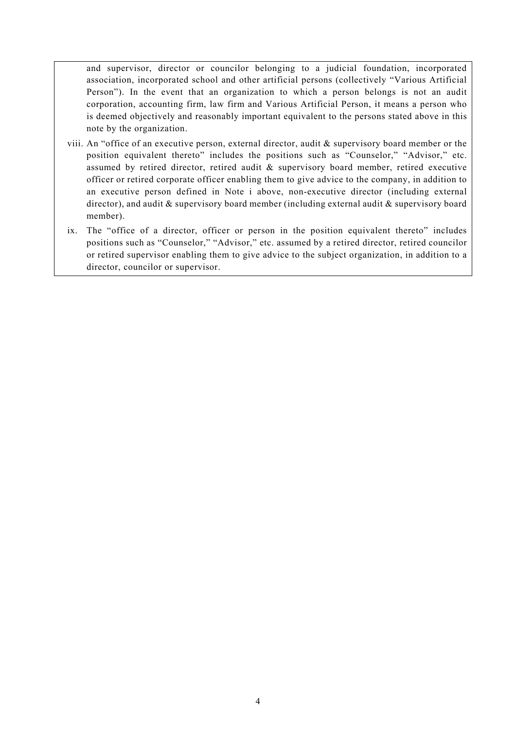and supervisor, director or councilor belonging to a judicial foundation, incorporated association, incorporated school and other artificial persons (collectively "Various Artificial Person"). In the event that an organization to which a person belongs is not an audit corporation, accounting firm, law firm and Various Artificial Person, it means a person who is deemed objectively and reasonably important equivalent to the persons stated above in this note by the organization.

- viii. An "office of an executive person, external director, audit & supervisory board member or the position equivalent thereto" includes the positions such as "Counselor," "Advisor," etc. assumed by retired director, retired audit & supervisory board member, retired executive officer or retired corporate officer enabling them to give advice to the company, in addition to an executive person defined in Note i above, non-executive director (including external director), and audit & supervisory board member (including external audit & supervisory board member).
- ix. The "office of a director, officer or person in the position equivalent thereto" includes positions such as "Counselor," "Advisor," etc. assumed by a retired director, retired councilor or retired supervisor enabling them to give advice to the subject organization, in addition to a director, councilor or supervisor.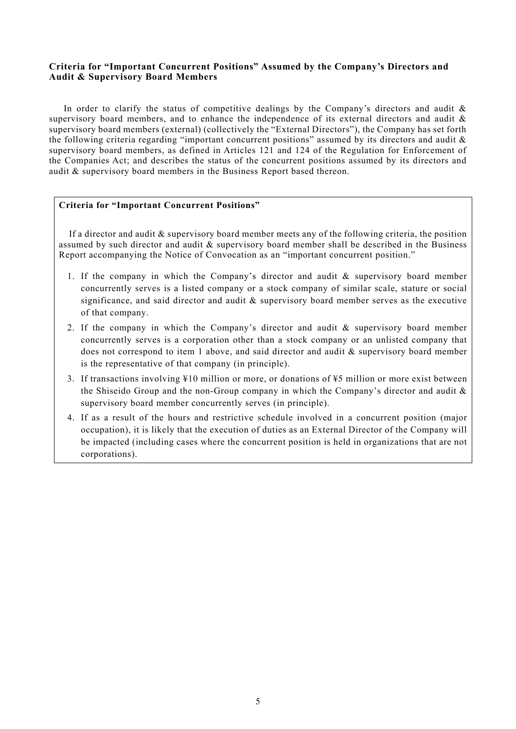## <span id="page-5-0"></span>**Criteria for "Important Concurrent Positions" Assumed by the Company's Directors and Audit & Supervisory Board Members**

In order to clarify the status of competitive dealings by the Company's directors and audit  $\&$ supervisory board members, and to enhance the independence of its external directors and audit  $\&$ supervisory board members (external) (collectively the "External Directors"), the Company has set forth the following criteria regarding "important concurrent positions" assumed by its directors and audit & supervisory board members, as defined in Articles 121 and 124 of the Regulation for Enforcement of the Companies Act; and describes the status of the concurrent positions assumed by its directors and audit & supervisory board members in the Business Report based thereon.

#### **Criteria for "Important Concurrent Positions"**

If a director and audit  $\&$  supervisory board member meets any of the following criteria, the position assumed by such director and audit & supervisory board member shall be described in the Business Report accompanying the Notice of Convocation as an "important concurrent position."

- 1. If the company in which the Company's director and audit & supervisory board member concurrently serves is a listed company or a stock company of similar scale, stature or social significance, and said director and audit  $\&$  supervisory board member serves as the executive of that company.
- 2. If the company in which the Company's director and audit & supervisory board member concurrently serves is a corporation other than a stock company or an unlisted company that does not correspond to item 1 above, and said director and audit & supervisory board member is the representative of that company (in principle).
- 3. If transactions involving ¥10 million or more, or donations of ¥5 million or more exist between the Shiseido Group and the non-Group company in which the Company's director and audit  $\&$ supervisory board member concurrently serves (in principle).
- 4. If as a result of the hours and restrictive schedule involved in a concurrent position (major occupation), it is likely that the execution of duties as an External Director of the Company will be impacted (including cases where the concurrent position is held in organizations that are not corporations).